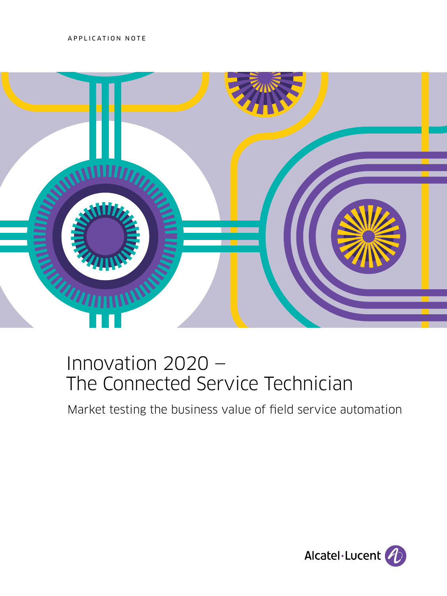APPLICATION NOTE



# Innovation 2020 — The Connected Service Technician

Market testing the business value of field service automation

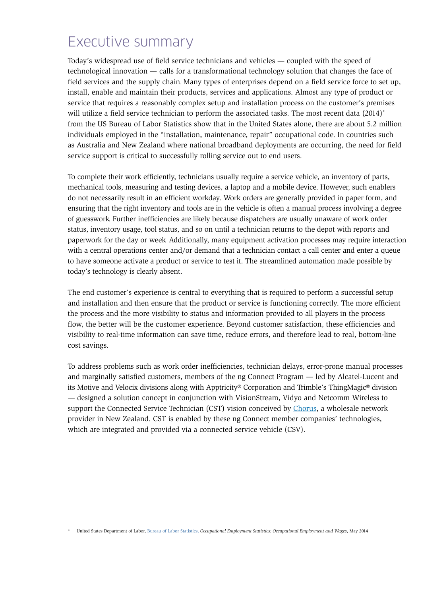# <span id="page-1-0"></span>Executive summary

Today's widespread use of field service technicians and vehicles — coupled with the speed of technological innovation — calls for a transformational technology solution that changes the face of field services and the supply chain. Many types of enterprises depend on a field service force to set up, install, enable and maintain their products, services and applications. Almost any type of product or service that requires a reasonably complex setup and installation process on the customer's premises will utilize a field service technician to perform the associated tasks. The most recent data (2014)<sup>\*</sup> from the US Bureau of Labor Statistics show that in the United States alone, there are about 5.2 million individuals employed in the "installation, maintenance, repair" occupational code. In countries such as Australia and New Zealand where national broadband deployments are occurring, the need for field service support is critical to successfully rolling service out to end users.

To complete their work efficiently, technicians usually require a service vehicle, an inventory of parts, mechanical tools, measuring and testing devices, a laptop and a mobile device. However, such enablers do not necessarily result in an efficient workday. Work orders are generally provided in paper form, and ensuring that the right inventory and tools are in the vehicle is often a manual process involving a degree of guesswork. Further inefficiencies are likely because dispatchers are usually unaware of work order status, inventory usage, tool status, and so on until a technician returns to the depot with reports and paperwork for the day or week. Additionally, many equipment activation processes may require interaction with a central operations center and/or demand that a technician contact a call center and enter a queue to have someone activate a product or service to test it. The streamlined automation made possible by today's technology is clearly absent.

The end customer's experience is central to everything that is required to perform a successful setup and installation and then ensure that the product or service is functioning correctly. The more efficient the process and the more visibility to status and information provided to all players in the process flow, the better will be the customer experience. Beyond customer satisfaction, these efficiencies and visibility to real-time information can save time, reduce errors, and therefore lead to real, bottom-line cost savings.

To address problems such as work order inefficiencies, technician delays, error-prone manual processes and marginally satisfied customers, members of the ng Connect Program — led by Alcatel-Lucent and its Motive and Velocix divisions along with Apptricity® Corporation and Trimble's ThingMagic® division — designed a solution concept in conjunction with VisionStream, Vidyo and Netcomm Wireless to support the Connected Service Technician (CST) vision conceived by [Chorus](https://www.chorus.co.nz/), a wholesale network provider in New Zealand. CST is enabled by these ng Connect member companies' technologies, which are integrated and provided via a connected service vehicle (CSV).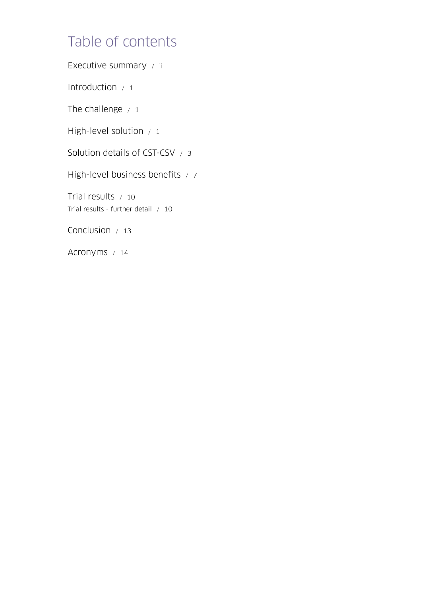# Table of contents

[Executive summary / ii](#page-1-0)

Introduction  $/1$ 

The challenge  $/1$ 

[High-level solution / 1](#page-3-0)

[Solution details of CST-CSV / 3](#page-5-0)

[High-level business benefits / 7](#page-9-0)

[Trial results / 10](#page-12-0) [Trial results - further detail / 10](#page-12-0)

[Conclusion / 13](#page-15-0)

[Acronyms / 14](#page-16-0)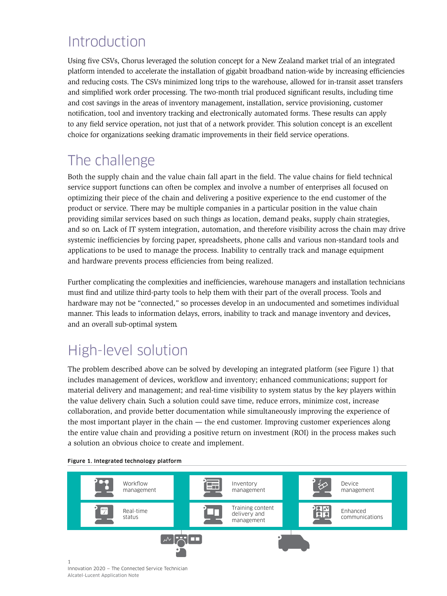# <span id="page-3-0"></span>Introduction

Using five CSVs, Chorus leveraged the solution concept for a New Zealand market trial of an integrated platform intended to accelerate the installation of gigabit broadband nation-wide by increasing efficiencies and reducing costs. The CSVs minimized long trips to the warehouse, allowed for in-transit asset transfers and simplified work order processing. The two-month trial produced significant results, including time and cost savings in the areas of inventory management, installation, service provisioning, customer notification, tool and inventory tracking and electronically automated forms. These results can apply to any field service operation, not just that of a network provider. This solution concept is an excellent choice for organizations seeking dramatic improvements in their field service operations.

# The challenge

Both the supply chain and the value chain fall apart in the field. The value chains for field technical service support functions can often be complex and involve a number of enterprises all focused on optimizing their piece of the chain and delivering a positive experience to the end customer of the product or service. There may be multiple companies in a particular position in the value chain providing similar services based on such things as location, demand peaks, supply chain strategies, and so on. Lack of IT system integration, automation, and therefore visibility across the chain may drive systemic inefficiencies by forcing paper, spreadsheets, phone calls and various non-standard tools and applications to be used to manage the process. Inability to centrally track and manage equipment and hardware prevents process efficiencies from being realized.

Further complicating the complexities and inefficiencies, warehouse managers and installation technicians must find and utilize third-party tools to help them with their part of the overall process. Tools and hardware may not be "connected," so processes develop in an undocumented and sometimes individual manner. This leads to information delays, errors, inability to track and manage inventory and devices, and an overall sub-optimal system.

# High-level solution

The problem described above can be solved by developing an integrated platform (see Figure 1) that includes management of devices, workflow and inventory; enhanced communications; support for material delivery and management; and real-time visibility to system status by the key players within the value delivery chain. Such a solution could save time, reduce errors, minimize cost, increase collaboration, and provide better documentation while simultaneously improving the experience of the most important player in the chain — the end customer. Improving customer experiences along the entire value chain and providing a positive return on investment (ROI) in the process makes such a solution an obvious choice to create and implement.



## Figure 1. Integrated technology platform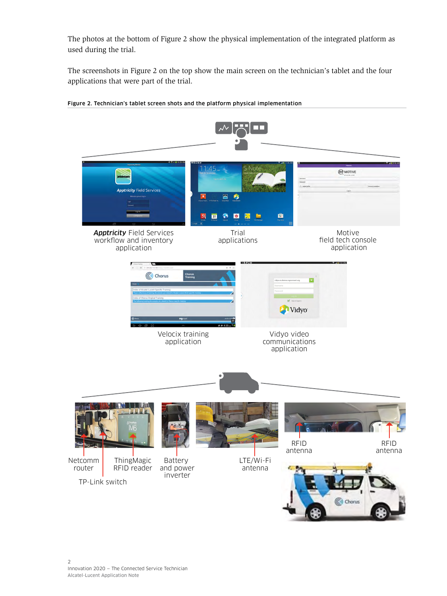The photos at the bottom of Figure 2 show the physical implementation of the integrated platform as used during the trial.

The screenshots in Figure 2 on the top show the main screen on the technician's tablet and the four applications that were part of the trial.



#### Figure 2. Technician's tablet screen shots and the platform physical implementation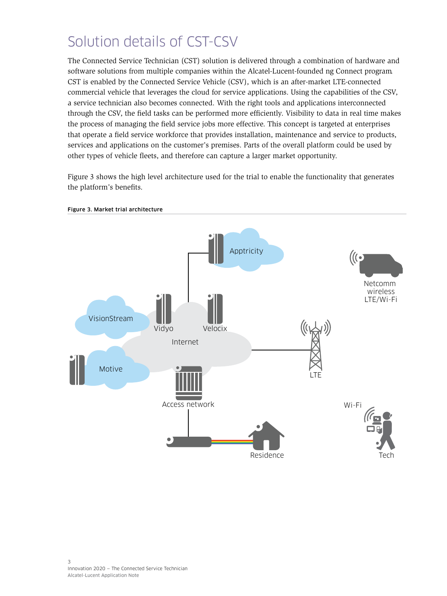# <span id="page-5-0"></span>Solution details of CST-CSV

The Connected Service Technician (CST) solution is delivered through a combination of hardware and software solutions from multiple companies within the Alcatel-Lucent-founded ng Connect program. CST is enabled by the Connected Service Vehicle (CSV), which is an after-market LTE-connected commercial vehicle that leverages the cloud for service applications. Using the capabilities of the CSV, a service technician also becomes connected. With the right tools and applications interconnected through the CSV, the field tasks can be performed more efficiently. Visibility to data in real time makes the process of managing the field service jobs more effective. This concept is targeted at enterprises that operate a field service workforce that provides installation, maintenance and service to products, services and applications on the customer's premises. Parts of the overall platform could be used by other types of vehicle fleets, and therefore can capture a larger market opportunity.

Figure 3 shows the high level architecture used for the trial to enable the functionality that generates the platform's benefits.



#### Figure 3. Market trial architecture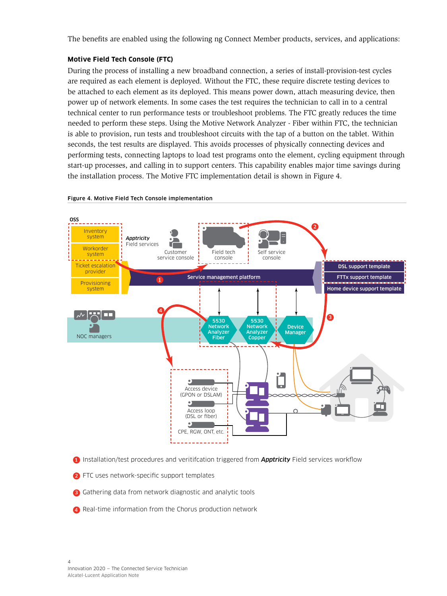The benefits are enabled using the following ng Connect Member products, services, and applications:

## **Motive Field Tech Console (FTC)**

During the process of installing a new broadband connection, a series of install-provision-test cycles are required as each element is deployed. Without the FTC, these require discrete testing devices to be attached to each element as its deployed. This means power down, attach measuring device, then power up of network elements. In some cases the test requires the technician to call in to a central technical center to run performance tests or troubleshoot problems. The FTC greatly reduces the time needed to perform these steps. Using the Motive Network Analyzer - Fiber within FTC, the technician is able to provision, run tests and troubleshoot circuits with the tap of a button on the tablet. Within seconds, the test results are displayed. This avoids processes of physically connecting devices and performing tests, connecting laptops to load test programs onto the element, cycling equipment through start-up processes, and calling in to support centers. This capability enables major time savings during the installation process. The Motive FTC implementation detail is shown in Figure 4.



#### Figure 4. Motive Field Tech Console implementation

- 1) Installation/test procedures and veritifcation triggered from **Apptricity** Field services workflow
- **2** FTC uses network-specific support templates
- 3 Gathering data from network diagnostic and analytic tools
- 4 Real-time information from the Chorus production network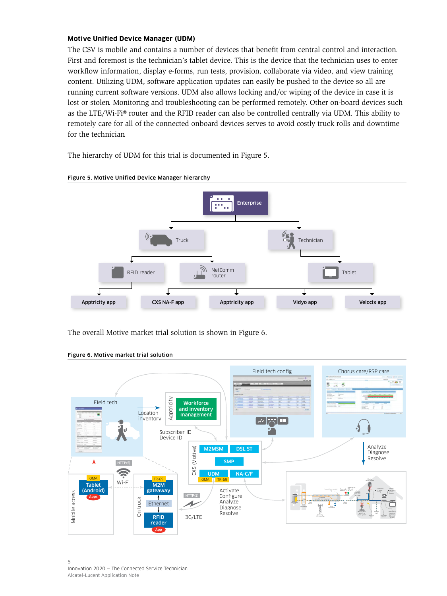### **Motive Unified Device Manager (UDM)**

The CSV is mobile and contains a number of devices that benefit from central control and interaction. First and foremost is the technician's tablet device. This is the device that the technician uses to enter workflow information, display e-forms, run tests, provision, collaborate via video, and view training content. Utilizing UDM, software application updates can easily be pushed to the device so all are running current software versions. UDM also allows locking and/or wiping of the device in case it is lost or stolen. Monitoring and troubleshooting can be performed remotely. Other on-board devices such as the LTE/Wi-Fi® router and the RFID reader can also be controlled centrally via UDM. This ability to remotely care for all of the connected onboard devices serves to avoid costly truck rolls and downtime for the technician.

The hierarchy of UDM for this trial is documented in Figure 5.



#### Figure 5. Motive Unified Device Manager hierarchy

The overall Motive market trial solution is shown in Figure 6.



#### Figure 6. Motive market trial solution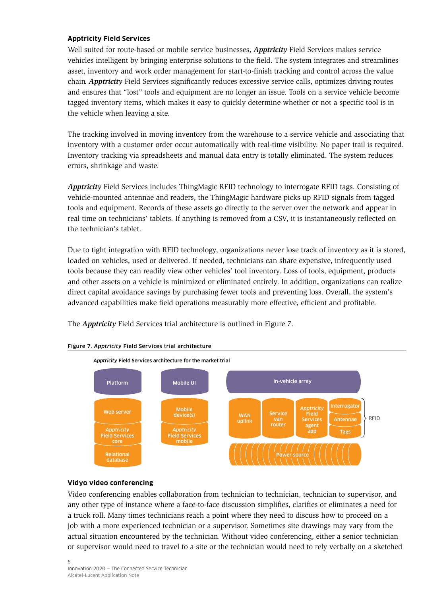## **Apptricity Field Services**

Well suited for route-based or mobile service businesses, *Apptricity* Field Services makes service vehicles intelligent by bringing enterprise solutions to the field. The system integrates and streamlines asset, inventory and work order management for start-to-finish tracking and control across the value chain. *Apptricity* Field Services significantly reduces excessive service calls, optimizes driving routes and ensures that "lost" tools and equipment are no longer an issue. Tools on a service vehicle become tagged inventory items, which makes it easy to quickly determine whether or not a specific tool is in the vehicle when leaving a site.

The tracking involved in moving inventory from the warehouse to a service vehicle and associating that inventory with a customer order occur automatically with real-time visibility. No paper trail is required. Inventory tracking via spreadsheets and manual data entry is totally eliminated. The system reduces errors, shrinkage and waste.

*Apptricity* Field Services includes ThingMagic RFID technology to interrogate RFID tags. Consisting of vehicle-mounted antennae and readers, the ThingMagic hardware picks up RFID signals from tagged tools and equipment. Records of these assets go directly to the server over the network and appear in real time on technicians' tablets. If anything is removed from a CSV, it is instantaneously reflected on the technician's tablet.

Due to tight integration with RFID technology, organizations never lose track of inventory as it is stored, loaded on vehicles, used or delivered. If needed, technicians can share expensive, infrequently used tools because they can readily view other vehicles' tool inventory. Loss of tools, equipment, products and other assets on a vehicle is minimized or eliminated entirely. In addition, organizations can realize direct capital avoidance savings by purchasing fewer tools and preventing loss. Overall, the system's advanced capabilities make field operations measurably more effective, efficient and profitable.

The *Apptricity* Field Services trial architecture is outlined in Figure 7.



## Figure 7. *Apptricity* Field Services trial architecture

#### **Vidyo video conferencing**

Video conferencing enables collaboration from technician to technician, technician to supervisor, and any other type of instance where a face-to-face discussion simplifies, clarifies or eliminates a need for a truck roll. Many times technicians reach a point where they need to discuss how to proceed on a job with a more experienced technician or a supervisor. Sometimes site drawings may vary from the actual situation encountered by the technician. Without video conferencing, either a senior technician or supervisor would need to travel to a site or the technician would need to rely verbally on a sketched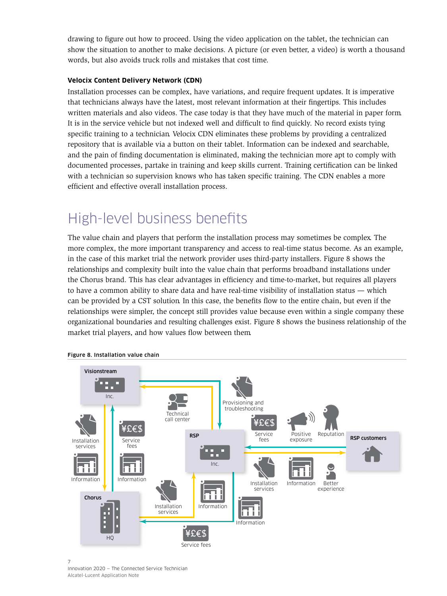<span id="page-9-0"></span>drawing to figure out how to proceed. Using the video application on the tablet, the technician can show the situation to another to make decisions. A picture (or even better, a video) is worth a thousand words, but also avoids truck rolls and mistakes that cost time.

## **Velocix Content Delivery Network (CDN)**

Installation processes can be complex, have variations, and require frequent updates. It is imperative that technicians always have the latest, most relevant information at their fingertips. This includes written materials and also videos. The case today is that they have much of the material in paper form. It is in the service vehicle but not indexed well and difficult to find quickly. No record exists tying specific training to a technician. Velocix CDN eliminates these problems by providing a centralized repository that is available via a button on their tablet. Information can be indexed and searchable, and the pain of finding documentation is eliminated, making the technician more apt to comply with documented processes, partake in training and keep skills current. Training certification can be linked with a technician so supervision knows who has taken specific training. The CDN enables a more efficient and effective overall installation process.

# High-level business benefits

The value chain and players that perform the installation process may sometimes be complex. The more complex, the more important transparency and access to real-time status become. As an example, in the case of this market trial the network provider uses third-party installers. Figure 8 shows the relationships and complexity built into the value chain that performs broadband installations under the Chorus brand. This has clear advantages in efficiency and time-to-market, but requires all players to have a common ability to share data and have real-time visibility of installation status — which can be provided by a CST solution. In this case, the benefits flow to the entire chain, but even if the relationships were simpler, the concept still provides value because even within a single company these organizational boundaries and resulting challenges exist. Figure 8 shows the business relationship of the market trial players, and how values flow between them.



Figure 8. Installation value chain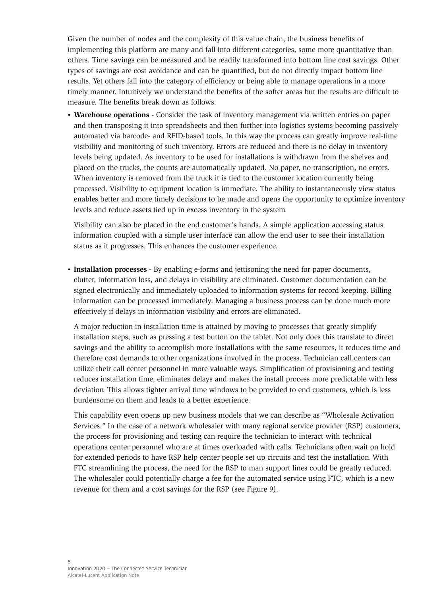Given the number of nodes and the complexity of this value chain, the business benefits of implementing this platform are many and fall into different categories, some more quantitative than others. Time savings can be measured and be readily transformed into bottom line cost savings. Other types of savings are cost avoidance and can be quantified, but do not directly impact bottom line results. Yet others fall into the category of efficiency or being able to manage operations in a more timely manner. Intuitively we understand the benefits of the softer areas but the results are difficult to measure. The benefits break down as follows.

• **Warehouse operations -** Consider the task of inventory management via written entries on paper and then transposing it into spreadsheets and then further into logistics systems becoming passively automated via barcode- and RFID-based tools. In this way the process can greatly improve real-time visibility and monitoring of such inventory. Errors are reduced and there is no delay in inventory levels being updated. As inventory to be used for installations is withdrawn from the shelves and placed on the trucks, the counts are automatically updated. No paper, no transcription, no errors. When inventory is removed from the truck it is tied to the customer location currently being processed. Visibility to equipment location is immediate. The ability to instantaneously view status enables better and more timely decisions to be made and opens the opportunity to optimize inventory levels and reduce assets tied up in excess inventory in the system.

Visibility can also be placed in the end customer's hands. A simple application accessing status information coupled with a simple user interface can allow the end user to see their installation status as it progresses. This enhances the customer experience.

• **Installation processes -** By enabling e-forms and jettisoning the need for paper documents, clutter, information loss, and delays in visibility are eliminated. Customer documentation can be signed electronically and immediately uploaded to information systems for record keeping. Billing information can be processed immediately. Managing a business process can be done much more effectively if delays in information visibility and errors are eliminated.

A major reduction in installation time is attained by moving to processes that greatly simplify installation steps, such as pressing a test button on the tablet. Not only does this translate to direct savings and the ability to accomplish more installations with the same resources, it reduces time and therefore cost demands to other organizations involved in the process. Technician call centers can utilize their call center personnel in more valuable ways. Simplification of provisioning and testing reduces installation time, eliminates delays and makes the install process more predictable with less deviation. This allows tighter arrival time windows to be provided to end customers, which is less burdensome on them and leads to a better experience.

This capability even opens up new business models that we can describe as "Wholesale Activation Services." In the case of a network wholesaler with many regional service provider (RSP) customers, the process for provisioning and testing can require the technician to interact with technical operations center personnel who are at times overloaded with calls. Technicians often wait on hold for extended periods to have RSP help center people set up circuits and test the installation. With FTC streamlining the process, the need for the RSP to man support lines could be greatly reduced. The wholesaler could potentially charge a fee for the automated service using FTC, which is a new revenue for them and a cost savings for the RSP (see Figure 9).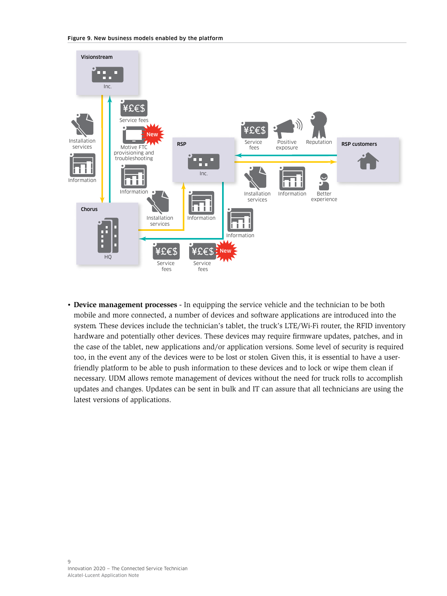

• **Device management processes -** In equipping the service vehicle and the technician to be both mobile and more connected, a number of devices and software applications are introduced into the system. These devices include the technician's tablet, the truck's LTE/Wi-Fi router, the RFID inventory hardware and potentially other devices. These devices may require firmware updates, patches, and in the case of the tablet, new applications and/or application versions. Some level of security is required too, in the event any of the devices were to be lost or stolen. Given this, it is essential to have a userfriendly platform to be able to push information to these devices and to lock or wipe them clean if necessary. UDM allows remote management of devices without the need for truck rolls to accomplish updates and changes. Updates can be sent in bulk and IT can assure that all technicians are using the latest versions of applications.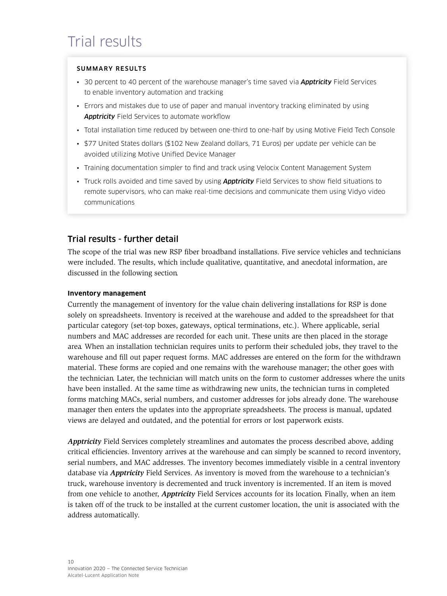# <span id="page-12-0"></span>Trial results

# SUMMARY RESULTS

- 30 percent to 40 percent of the warehouse manager's time saved via *Apptricity* Field Services to enable inventory automation and tracking
- Errors and mistakes due to use of paper and manual inventory tracking eliminated by using *Apptricity* Field Services to automate workflow
- Total installation time reduced by between one-third to one-half by using Motive Field Tech Console
- \$77 United States dollars (\$102 New Zealand dollars, 71 Euros) per update per vehicle can be avoided utilizing Motive Unified Device Manager
- Training documentation simpler to find and track using Velocix Content Management System
- Truck rolls avoided and time saved by using *Apptricity* Field Services to show field situations to remote supervisors, who can make real-time decisions and communicate them using Vidyo video communications

# Trial results - further detail

The scope of the trial was new RSP fiber broadband installations. Five service vehicles and technicians were included. The results, which include qualitative, quantitative, and anecdotal information, are discussed in the following section.

## **Inventory management**

Currently the management of inventory for the value chain delivering installations for RSP is done solely on spreadsheets. Inventory is received at the warehouse and added to the spreadsheet for that particular category (set-top boxes, gateways, optical terminations, etc.). Where applicable, serial numbers and MAC addresses are recorded for each unit. These units are then placed in the storage area. When an installation technician requires units to perform their scheduled jobs, they travel to the warehouse and fill out paper request forms. MAC addresses are entered on the form for the withdrawn material. These forms are copied and one remains with the warehouse manager; the other goes with the technician. Later, the technician will match units on the form to customer addresses where the units have been installed. At the same time as withdrawing new units, the technician turns in completed forms matching MACs, serial numbers, and customer addresses for jobs already done. The warehouse manager then enters the updates into the appropriate spreadsheets. The process is manual, updated views are delayed and outdated, and the potential for errors or lost paperwork exists.

*Apptricity* Field Services completely streamlines and automates the process described above, adding critical efficiencies. Inventory arrives at the warehouse and can simply be scanned to record inventory, serial numbers, and MAC addresses. The inventory becomes immediately visible in a central inventory database via *Apptricity* Field Services. As inventory is moved from the warehouse to a technician's truck, warehouse inventory is decremented and truck inventory is incremented. If an item is moved from one vehicle to another, *Apptricity* Field Services accounts for its location. Finally, when an item is taken off of the truck to be installed at the current customer location, the unit is associated with the address automatically.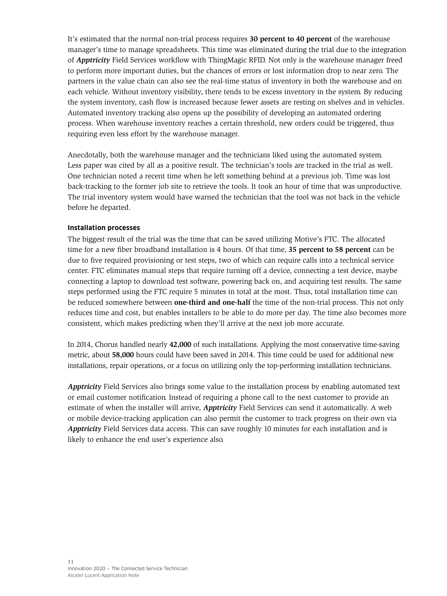It's estimated that the normal non-trial process requires **30 percent to 40 percent** of the warehouse manager's time to manage spreadsheets. This time was eliminated during the trial due to the integration of *Apptricity* Field Services workflow with ThingMagic RFID. Not only is the warehouse manager freed to perform more important duties, but the chances of errors or lost information drop to near zero. The partners in the value chain can also see the real-time status of inventory in both the warehouse and on each vehicle. Without inventory visibility, there tends to be excess inventory in the system. By reducing the system inventory, cash flow is increased because fewer assets are resting on shelves and in vehicles. Automated inventory tracking also opens up the possibility of developing an automated ordering process. When warehouse inventory reaches a certain threshold, new orders could be triggered, thus requiring even less effort by the warehouse manager.

Anecdotally, both the warehouse manager and the technicians liked using the automated system. Less paper was cited by all as a positive result. The technician's tools are tracked in the trial as well. One technician noted a recent time when he left something behind at a previous job. Time was lost back-tracking to the former job site to retrieve the tools. It took an hour of time that was unproductive. The trial inventory system would have warned the technician that the tool was not back in the vehicle before he departed.

# **Installation processes**

The biggest result of the trial was the time that can be saved utilizing Motive's FTC. The allocated time for a new fiber broadband installation is 4 hours. Of that time, **35 percent to 58 percent** can be due to five required provisioning or test steps, two of which can require calls into a technical service center. FTC eliminates manual steps that require turning off a device, connecting a test device, maybe connecting a laptop to download test software, powering back on, and acquiring test results. The same steps performed using the FTC require 5 minutes in total at the most. Thus, total installation time can be reduced somewhere between **one-third and one-half** the time of the non-trial process. This not only reduces time and cost, but enables installers to be able to do more per day. The time also becomes more consistent, which makes predicting when they'll arrive at the next job more accurate.

In 2014, Chorus handled nearly **42,000** of such installations. Applying the most conservative time-saving metric, about **58,000** hours could have been saved in 2014. This time could be used for additional new installations, repair operations, or a focus on utilizing only the top-performing installation technicians.

*Apptricity* Field Services also brings some value to the installation process by enabling automated text or email customer notification. Instead of requiring a phone call to the next customer to provide an estimate of when the installer will arrive, *Apptricity* Field Services can send it automatically. A web or mobile device-tracking application can also permit the customer to track progress on their own via *Apptricity* Field Services data access. This can save roughly 10 minutes for each installation and is likely to enhance the end user's experience also.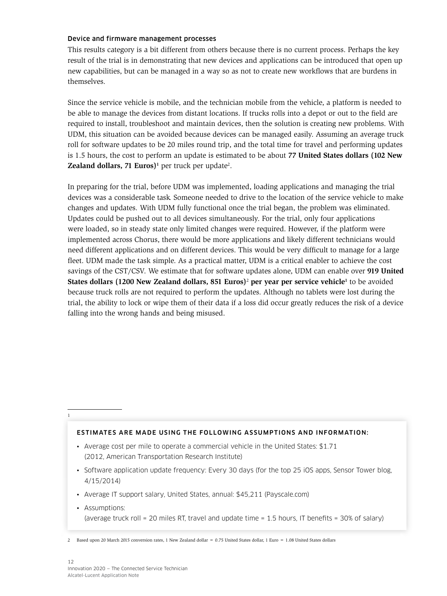## Device and firmware management processes

This results category is a bit different from others because there is no current process. Perhaps the key result of the trial is in demonstrating that new devices and applications can be introduced that open up new capabilities, but can be managed in a way so as not to create new workflows that are burdens in themselves.

Since the service vehicle is mobile, and the technician mobile from the vehicle, a platform is needed to be able to manage the devices from distant locations. If trucks rolls into a depot or out to the field are required to install, troubleshoot and maintain devices, then the solution is creating new problems. With UDM, this situation can be avoided because devices can be managed easily. Assuming an average truck roll for software updates to be 20 miles round trip, and the total time for travel and performing updates is 1.5 hours, the cost to perform an update is estimated to be about **77 United States dollars (102 New Zealand dollars, 71 Euros)**<sup>1</sup> per truck per update<sup>2</sup>.

In preparing for the trial, before UDM was implemented, loading applications and managing the trial devices was a considerable task. Someone needed to drive to the location of the service vehicle to make changes and updates. With UDM fully functional once the trial began, the problem was eliminated. Updates could be pushed out to all devices simultaneously. For the trial, only four applications were loaded, so in steady state only limited changes were required. However, if the platform were implemented across Chorus, there would be more applications and likely different technicians would need different applications and on different devices. This would be very difficult to manage for a large fleet. UDM made the task simple. As a practical matter, UDM is a critical enabler to achieve the cost savings of the CST/CSV. We estimate that for software updates alone, UDM can enable over **919 United States dollars (1200 New Zealand dollars, 851 Euros)<sup>2</sup> per year per service vehicle<sup>1</sup> to be avoided** because truck rolls are not required to perform the updates. Although no tablets were lost during the trial, the ability to lock or wipe them of their data if a loss did occur greatly reduces the risk of a device falling into the wrong hands and being misused.

1

#### ESTIMATES ARE MADE USING THE FOLLOWING ASSUMPTIONS AND INFORMATION:

- Average cost per mile to operate a commercial vehicle in the United States: \$1.71 (2012, American Transportation Research Institute)
- Software application update frequency: Every 30 days (for the top 25 iOS apps, Sensor Tower blog, 4/15/2014)
- Average IT support salary, United States, annual: \$45,211 (Payscale.com)
- Assumptions: (average truck roll = 20 miles RT, travel and update time = 1.5 hours, IT benefits =  $30\%$  of salary)

<sup>2</sup> Based upon 20 March 2015 conversion rates, 1 New Zealand dollar = 0.75 United States dollar, 1 Euro = 1.08 United States dollars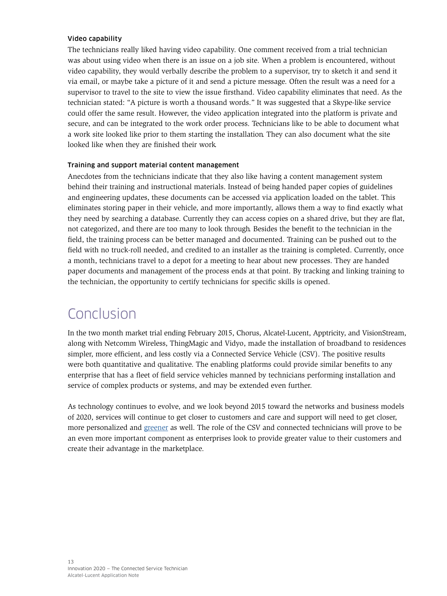## <span id="page-15-0"></span>Video capability

The technicians really liked having video capability. One comment received from a trial technician was about using video when there is an issue on a job site. When a problem is encountered, without video capability, they would verbally describe the problem to a supervisor, try to sketch it and send it via email, or maybe take a picture of it and send a picture message. Often the result was a need for a supervisor to travel to the site to view the issue firsthand. Video capability eliminates that need. As the technician stated: "A picture is worth a thousand words." It was suggested that a Skype-like service could offer the same result. However, the video application integrated into the platform is private and secure, and can be integrated to the work order process. Technicians like to be able to document what a work site looked like prior to them starting the installation. They can also document what the site looked like when they are finished their work.

# Training and support material content management

Anecdotes from the technicians indicate that they also like having a content management system behind their training and instructional materials. Instead of being handed paper copies of guidelines and engineering updates, these documents can be accessed via application loaded on the tablet. This eliminates storing paper in their vehicle, and more importantly, allows them a way to find exactly what they need by searching a database. Currently they can access copies on a shared drive, but they are flat, not categorized, and there are too many to look through. Besides the benefit to the technician in the field, the training process can be better managed and documented. Training can be pushed out to the field with no truck-roll needed, and credited to an installer as the training is completed. Currently, once a month, technicians travel to a depot for a meeting to hear about new processes. They are handed paper documents and management of the process ends at that point. By tracking and linking training to the technician, the opportunity to certify technicians for specific skills is opened.

# Conclusion

In the two month market trial ending February 2015, Chorus, Alcatel-Lucent, Apptricity, and VisionStream, along with Netcomm Wireless, ThingMagic and Vidyo, made the installation of broadband to residences simpler, more efficient, and less costly via a Connected Service Vehicle (CSV). The positive results were both quantitative and qualitative. The enabling platforms could provide similar benefits to any enterprise that has a fleet of field service vehicles manned by technicians performing installation and service of complex products or systems, and may be extended even further.

As technology continues to evolve, and we look beyond 2015 toward the networks and business models of 2020, services will continue to get closer to customers and care and support will need to get closer, more personalized and [greener](http://www.greenfleetmagazine.com/article/story/2014/04/tk-grn.aspx ) as well. The role of the CSV and connected technicians will prove to be an even more important component as enterprises look to provide greater value to their customers and create their advantage in the marketplace.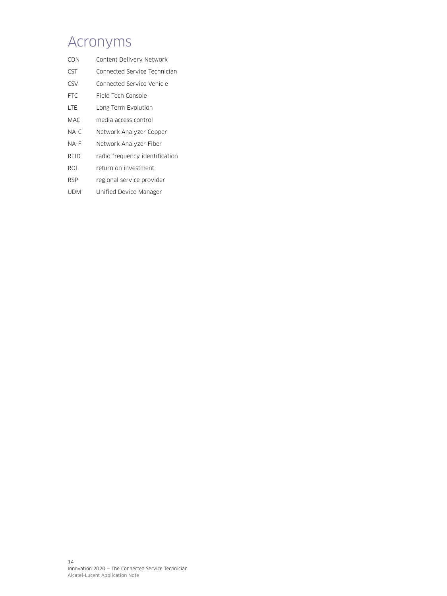# <span id="page-16-0"></span>Acronyms

- CDN Content Delivery Network
- CST Connected Service Technician
- CSV Connected Service Vehicle
- FTC Field Tech Console
- LTE Long Term Evolution
- MAC media access control
- NA-C Network Analyzer Copper
- NA-F Network Analyzer Fiber
- RFID radio frequency identification
- ROI return on investment
- RSP regional service provider
- UDM Unified Device Manager